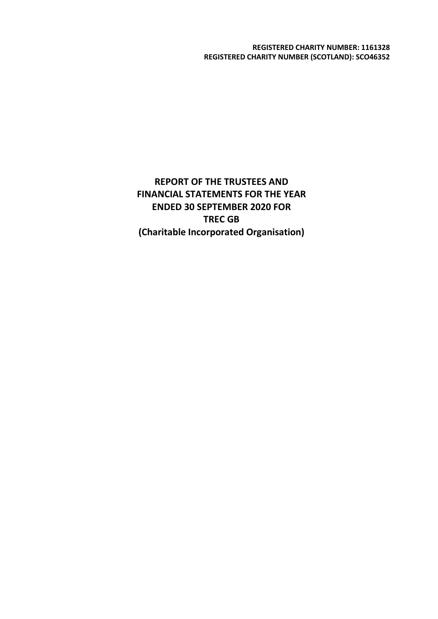**REGISTERED CHARITY NUMBER: 1161328 REGISTERED CHARITY NUMBER (SCOTLAND): SCO46352**

**REPORT OF THE TRUSTEES AND FINANCIAL STATEMENTS FOR THE YEAR ENDED 30 SEPTEMBER 2020 FOR TREC GB (Charitable Incorporated Organisation)**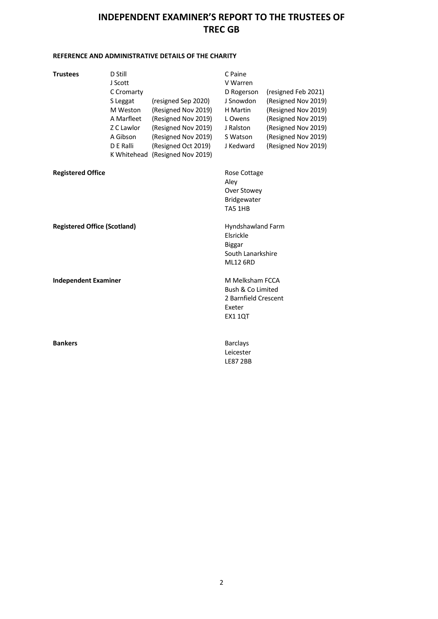### **REFERENCE AND ADMINISTRATIVE DETAILS OF THE CHARITY**

| <b>Trustees</b>                     | D Still<br>J Scott<br>C Cromarty<br>S Leggat<br>M Weston<br>A Marfleet<br>Z C Lawlor<br>A Gibson<br>D E Ralli | (resigned Sep 2020)<br>(Resigned Nov 2019)<br>(Resigned Nov 2019)<br>(Resigned Nov 2019)<br>(Resigned Nov 2019)<br>(Resigned Oct 2019)<br>K Whitehead (Resigned Nov 2019) | C Paine<br>V Warren<br>D Rogerson<br>J Snowdon<br>H Martin<br>L Owens<br>J Ralston<br>S Watson<br>J Kedward | (resigned Feb 2021)<br>(Resigned Nov 2019)<br>(Resigned Nov 2019)<br>(Resigned Nov 2019)<br>(Resigned Nov 2019)<br>(Resigned Nov 2019)<br>(Resigned Nov 2019) |  |
|-------------------------------------|---------------------------------------------------------------------------------------------------------------|---------------------------------------------------------------------------------------------------------------------------------------------------------------------------|-------------------------------------------------------------------------------------------------------------|---------------------------------------------------------------------------------------------------------------------------------------------------------------|--|
| <b>Registered Office</b>            |                                                                                                               |                                                                                                                                                                           | Rose Cottage<br>Aley<br>Over Stowey<br>Bridgewater<br>TA5 1HB                                               |                                                                                                                                                               |  |
| <b>Registered Office (Scotland)</b> |                                                                                                               |                                                                                                                                                                           | Hyndshawland Farm<br>Elsrickle<br><b>Biggar</b><br>South Lanarkshire<br><b>ML12 6RD</b>                     |                                                                                                                                                               |  |
| <b>Independent Examiner</b>         |                                                                                                               |                                                                                                                                                                           | M Melksham FCCA<br>Bush & Co Limited<br>2 Barnfield Crescent<br>Exeter<br><b>EX1 1QT</b>                    |                                                                                                                                                               |  |
| <b>Bankers</b>                      |                                                                                                               |                                                                                                                                                                           | <b>Barclays</b><br>Leicester<br><b>LE87 2BB</b>                                                             |                                                                                                                                                               |  |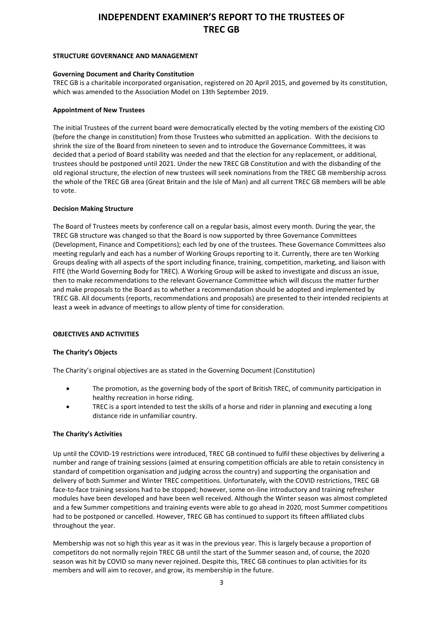#### **STRUCTURE GOVERNANCE AND MANAGEMENT**

#### **Governing Document and Charity Constitution**

TREC GB is a charitable incorporated organisation, registered on 20 April 2015, and governed by its constitution, which was amended to the Association Model on 13th September 2019.

#### **Appointment of New Trustees**

The initial Trustees of the current board were democratically elected by the voting members of the existing CIO (before the change in constitution) from those Trustees who submitted an application. With the decisions to shrink the size of the Board from nineteen to seven and to introduce the Governance Committees, it was decided that a period of Board stability was needed and that the election for any replacement, or additional, trustees should be postponed until 2021. Under the new TREC GB Constitution and with the disbanding of the old regional structure, the election of new trustees will seek nominations from the TREC GB membership across the whole of the TREC GB area (Great Britain and the Isle of Man) and all current TREC GB members will be able to vote.

### **Decision Making Structure**

The Board of Trustees meets by conference call on a regular basis, almost every month. During the year, the TREC GB structure was changed so that the Board is now supported by three Governance Committees (Development, Finance and Competitions); each led by one of the trustees. These Governance Committees also meeting regularly and each has a number of Working Groups reporting to it. Currently, there are ten Working Groups dealing with all aspects of the sport including finance, training, competition, marketing, and liaison with FITE (the World Governing Body for TREC). A Working Group will be asked to investigate and discuss an issue, then to make recommendations to the relevant Governance Committee which will discuss the matter further and make proposals to the Board as to whether a recommendation should be adopted and implemented by TREC GB. All documents (reports, recommendations and proposals) are presented to their intended recipients at least a week in advance of meetings to allow plenty of time for consideration.

### **OBJECTIVES AND ACTIVITIES**

### **The Charity's Objects**

The Charity's original objectives are as stated in the Governing Document (Constitution)

- The promotion, as the governing body of the sport of British TREC, of community participation in healthy recreation in horse riding.
- TREC is a sport intended to test the skills of a horse and rider in planning and executing a long distance ride in unfamiliar country.

### **The Charity's Activities**

Up until the COVID-19 restrictions were introduced, TREC GB continued to fulfil these objectives by delivering a number and range of training sessions (aimed at ensuring competition officials are able to retain consistency in standard of competition organisation and judging across the country) and supporting the organisation and delivery of both Summer and Winter TREC competitions. Unfortunately, with the COVID restrictions, TREC GB face-to-face training sessions had to be stopped; however, some on-line introductory and training refresher modules have been developed and have been well received. Although the Winter season was almost completed and a few Summer competitions and training events were able to go ahead in 2020, most Summer competitions had to be postponed or cancelled. However, TREC GB has continued to support its fifteen affiliated clubs throughout the year.

Membership was not so high this year as it was in the previous year. This is largely because a proportion of competitors do not normally rejoin TREC GB until the start of the Summer season and, of course, the 2020 season was hit by COVID so many never rejoined. Despite this, TREC GB continues to plan activities for its members and will aim to recover, and grow, its membership in the future.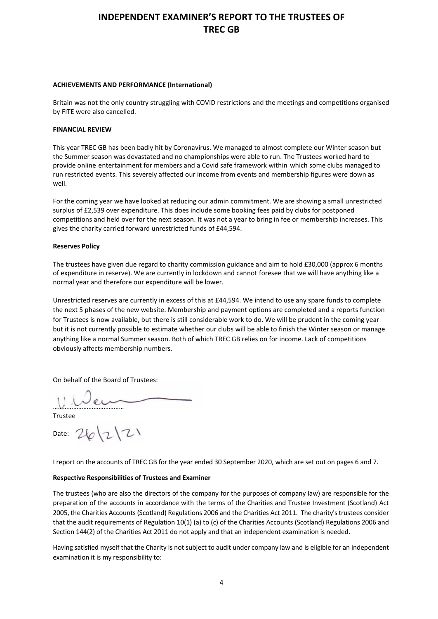#### **ACHIEVEMENTS AND PERFORMANCE (International)**

Britain was not the only country struggling with COVID restrictions and the meetings and competitions organised by FITE were also cancelled.

#### **FINANCIAL REVIEW**

This year TREC GB has been badly hit by Coronavirus. We managed to almost complete our Winter season but the Summer season was devastated and no championships were able to run. The Trustees worked hard to provide online entertainment for members and a Covid safe framework within which some clubs managed to run restricted events. This severely affected our income from events and membership figures were down as well.

For the coming year we have looked at reducing our admin commitment. We are showing a small unrestricted surplus of £2,539 over expenditure. This does include some booking fees paid by clubs for postponed competitions and held over for the next season. It was not a year to bring in fee or membership increases. This gives the charity carried forward unrestricted funds of £44,594.

#### **Reserves Policy**

The trustees have given due regard to charity commission guidance and aim to hold £30,000 (approx 6 months of expenditure in reserve). We are currently in lockdown and cannot foresee that we will have anything like a normal year and therefore our expenditure will be lower.

Unrestricted reserves are currently in excess of this at £44,594. We intend to use any spare funds to complete the next 5 phases of the new website. Membership and payment options are completed and a reports function for Trustees is now available, but there is still considerable work to do. We will be prudent in the coming year but it is not currently possible to estimate whether our clubs will be able to finish the Winter season or manage anything like a normal Summer season. Both of which TREC GB relies on for income. Lack of competitions obviously affects membership numbers.

On behalf of the Board of Trustees:

……………………………………

Trustee

Date:  $26|2|21$ 

I report on the accounts of TREC GB for the year ended 30 September 2020, which are set out on pages 6 and 7.

### **Respective Responsibilities of Trustees and Examiner**

The trustees (who are also the directors of the company for the purposes of company law) are responsible for the preparation of the accounts in accordance with the terms of the Charities and Trustee Investment (Scotland) Act 2005, the Charities Accounts (Scotland) Regulations 2006 and the Charities Act 2011. The charity's trustees consider that the audit requirements of Regulation 10(1) (a) to (c) of the Charities Accounts (Scotland) Regulations 2006 and Section 144(2) of the Charities Act 2011 do not apply and that an independent examination is needed.

Having satisfied myself that the Charity is not subject to audit under company law and is eligible for an independent examination it is my responsibility to: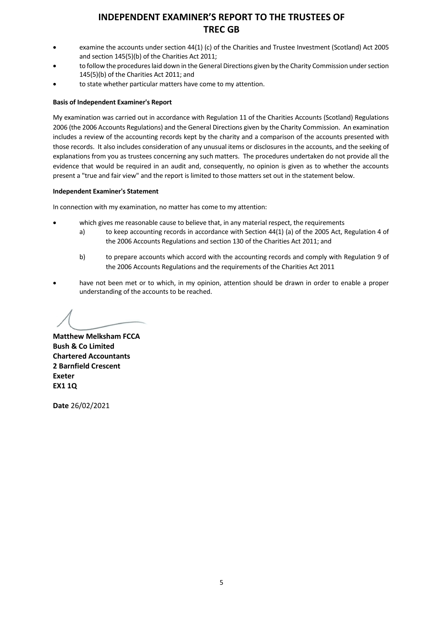- examine the accounts under section 44(1) (c) of the Charities and Trustee Investment (Scotland) Act 2005 and section 145(5)(b) of the Charities Act 2011;
- to follow the procedures laid down in the General Directions given by the Charity Commission under section 145(5)(b) of the Charities Act 2011; and
- to state whether particular matters have come to my attention.

#### **Basis of Independent Examiner's Report**

My examination was carried out in accordance with Regulation 11 of the Charities Accounts (Scotland) Regulations 2006 (the 2006 Accounts Regulations) and the General Directions given by the Charity Commission. An examination includes a review of the accounting records kept by the charity and a comparison of the accounts presented with those records. It also includes consideration of any unusual items or disclosures in the accounts, and the seeking of explanations from you as trustees concerning any such matters. The procedures undertaken do not provide all the evidence that would be required in an audit and, consequently, no opinion is given as to whether the accounts present a "true and fair view" and the report is limited to those matters set out in the statement below.

#### **Independent Examiner's Statement**

In connection with my examination, no matter has come to my attention:

- which gives me reasonable cause to believe that, in any material respect, the requirements
	- a) to keep accounting records in accordance with Section 44(1) (a) of the 2005 Act, Regulation 4 of the 2006 Accounts Regulations and section 130 of the Charities Act 2011; and
	- b) to prepare accounts which accord with the accounting records and comply with Regulation 9 of the 2006 Accounts Regulations and the requirements of the Charities Act 2011
- have not been met or to which, in my opinion, attention should be drawn in order to enable a proper understanding of the accounts to be reached.

**Matthew Melksham FCCA Bush & Co Limited Chartered Accountants 2 Barnfield Crescent Exeter EX1 1Q**

**Date** 26/02/2021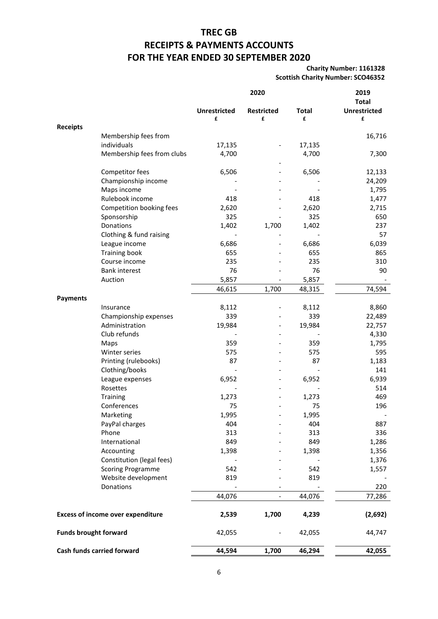# **TREC GB RECEIPTS & PAYMENTS ACCOUNTS FOR THE YEAR ENDED 30 SEPTEMBER 2020**

**Charity Number: 1161328 Scottish Charity Number: SCO46352**

|                              |                                          | 2020                     |                        |                   | 2019<br><b>Total</b>     |
|------------------------------|------------------------------------------|--------------------------|------------------------|-------------------|--------------------------|
|                              |                                          | <b>Unrestricted</b><br>£ | <b>Restricted</b><br>£ | <b>Total</b><br>£ | <b>Unrestricted</b><br>£ |
| <b>Receipts</b>              |                                          |                          |                        |                   |                          |
|                              | Membership fees from                     |                          |                        |                   | 16,716                   |
|                              | individuals                              | 17,135                   |                        | 17,135            |                          |
|                              | Membership fees from clubs               | 4,700                    |                        | 4,700             | 7,300                    |
|                              | Competitor fees                          | 6,506                    |                        | 6,506             | 12,133                   |
|                              | Championship income                      |                          |                        |                   | 24,209                   |
|                              | Maps income                              |                          |                        |                   | 1,795                    |
|                              | Rulebook income                          | 418                      |                        | 418               | 1,477                    |
|                              | Competition booking fees                 | 2,620                    |                        | 2,620             | 2,715                    |
|                              | Sponsorship                              | 325                      |                        | 325               | 650                      |
|                              | Donations                                | 1,402                    | 1,700                  | 1,402             | 237                      |
|                              | Clothing & fund raising                  |                          |                        |                   | 57                       |
|                              | League income                            | 6,686                    |                        | 6,686             | 6,039                    |
|                              | <b>Training book</b>                     | 655                      |                        | 655               | 865                      |
|                              | Course income                            | 235                      |                        | 235               | 310                      |
|                              | <b>Bank interest</b>                     | 76                       |                        | 76                | 90                       |
|                              | Auction                                  | 5,857                    |                        | 5,857             |                          |
| <b>Payments</b>              |                                          | 46,615                   | 1,700                  | 48,315            | 74,594                   |
|                              | Insurance                                | 8,112                    |                        | 8,112             | 8,860                    |
|                              | Championship expenses                    | 339                      |                        | 339               | 22,489                   |
|                              | Administration                           | 19,984                   |                        | 19,984            | 22,757                   |
|                              | Club refunds                             |                          |                        |                   | 4,330                    |
|                              | Maps                                     | 359                      |                        | 359               | 1,795                    |
|                              | Winter series                            | 575                      |                        | 575               | 595                      |
|                              | Printing (rulebooks)                     | 87                       |                        | 87                | 1,183                    |
|                              | Clothing/books                           |                          |                        |                   | 141                      |
|                              | League expenses                          | 6,952                    |                        | 6,952             | 6,939                    |
|                              | Rosettes                                 |                          |                        |                   | 514                      |
|                              | Training                                 | 1,273                    |                        | 1,273             | 469                      |
|                              | Conferences                              | 75                       |                        | 75                | 196                      |
|                              | Marketing                                | 1,995                    |                        | 1,995             |                          |
|                              | PayPal charges                           | 404                      |                        | 404               | 887                      |
|                              | Phone                                    | 313                      |                        | 313               | 336                      |
|                              | International                            | 849                      |                        | 849               | 1,286                    |
|                              | Accounting                               | 1,398                    |                        | 1,398             | 1,356                    |
|                              | Constitution (legal fees)                |                          |                        |                   | 1,376                    |
|                              | <b>Scoring Programme</b>                 | 542                      |                        | 542               | 1,557                    |
|                              | Website development                      | 819                      |                        | 819               |                          |
|                              | Donations                                |                          |                        |                   | 220                      |
|                              |                                          | 44,076                   | $\qquad \qquad -$      | 44,076            | 77,286                   |
|                              | <b>Excess of income over expenditure</b> | 2,539                    | 1,700                  | 4,239             | (2,692)                  |
| <b>Funds brought forward</b> |                                          | 42,055                   |                        | 42,055            | 44,747                   |
| Cash funds carried forward   |                                          | 44,594                   | 1,700                  | 46,294            | 42,055                   |